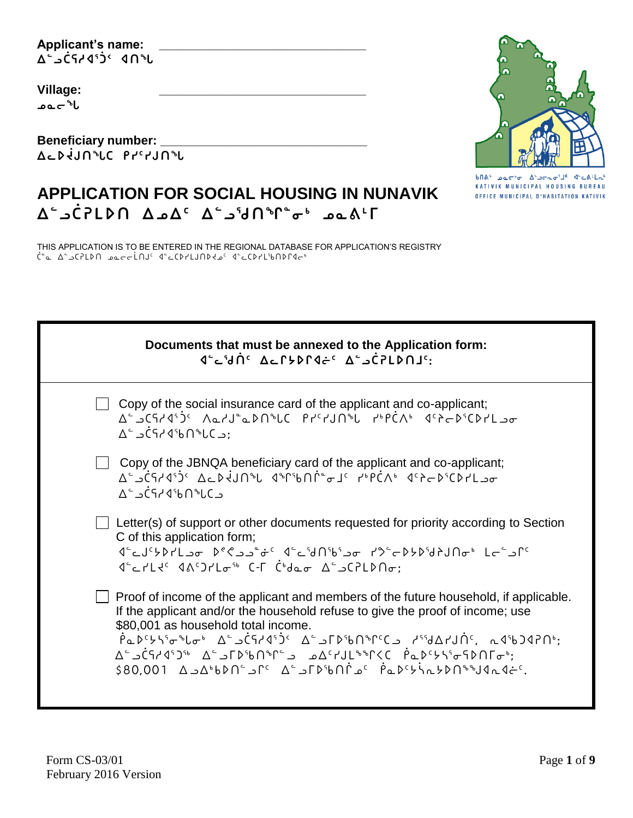**Applicant's name: \_\_\_\_\_\_\_\_\_\_\_\_\_\_\_\_\_\_\_\_\_\_\_\_\_\_\_\_\_\_ ᐃᓪᓗᑖᕋᓱᐊᕐᑑᑉ ᐊᑎᖓ**

**Village: \_\_\_\_\_\_\_\_\_\_\_\_\_\_\_\_\_\_\_\_\_\_\_\_\_\_\_\_\_\_ ᓄᓇᓕᖓ**

**Beneficiary number: \_\_\_\_\_\_\_\_\_\_\_\_\_\_\_\_\_\_\_\_\_\_\_\_\_\_\_\_\_\_ ᐃᓚᐅᔫᒍᑎᖓᑕ ᑭᓯᑦᓯᒍᑎᖓ**



 $b\cap A^* = ba\cap^* \sigma = A^* \neg \neg \neg \neg \sigma^* \bot^c = A^* \Box A^* \Box \neg$ KATIVIK MUNICIPAL HOUSING BUREAU OFFICE MUNICIPAL D'HABITATION KATIVIK

# **APPLICATION FOR SOCIAL HOUSING IN NUNAVIK ᐃᓪᓗᑖᕈᒪᐅᑎ ᐃᓄᐃᑦ ᐃᓪᓗᖁᑎᖏᓐᓂᒃ ᓄᓇᕕᒻᒥ**

THIS APPLICATION IS TO BE ENTERED IN THE REGIONAL DATABASE FOR APPLICATION'S REGISTRY ᑖᓐᓇ ᐃᓪᓗᑕᕈᒪᐅᑎ ᓄᓇᓕᓕᒫᑎᒍᑦ ᐊᓪᓚᑕᐅᓯᒪᒍᑎᐅᔪᓄᑦ ᐊᓪᓚᑕᐅᓯᒪᖃᑎᐅᒋᐊᓕᒃ

| Documents that must be annexed to the Application form:<br>JEDJUTHO ACTYPRIC ASSCRIPTS:                                                                                                                                                                                                                                                                                                                                                                                                       |
|-----------------------------------------------------------------------------------------------------------------------------------------------------------------------------------------------------------------------------------------------------------------------------------------------------------------------------------------------------------------------------------------------------------------------------------------------------------------------------------------------|
| Copy of the social insurance card of the applicant and co-applicant;<br>A <sup>c</sup> د د ۱۹۹۲ ۱۵۲۰ بره د ۱۹۳۲ ۱۹۴۲ ۱۹۴۵ می د ۱۹۴۵ ۱۵۲۰ که د ۲۵۲ د ک<br>$\Delta^c$ $\Delta^c$ $\Delta^c$ $\Delta^c$ $\Delta^c$ $\Delta^c$ $\Delta^c$ $\Delta^c$                                                                                                                                                                                                                                              |
| Copy of the JBNQA beneficiary card of the applicant and co-applicant;<br>A ْدَادْادا بْلَاسْكَانْ مِيْتَابْ مَاسْتَادْ مِيْتَارْ مِيْتَارْ مِيْتَابِيْتَ مِيْتَابِيْتَ مِيْتَ<br>∆՟⊇ĊϚ៸∢ჼႱႶჼႱϹ౨                                                                                                                                                                                                                                                                                               |
| Letter(s) of support or other documents requested for priority according to Section<br>C of this application form;<br>1 <sup>0</sup> - اد کا ۱۹۳۰/۱۹۶۶ - ۲۵ - ۲۵٬۵۹۴ - ۲۵٬۵۹۴ - ۲۵٬۵۰۵ - ۲۵٬۵۰۵<br>$1 - 3$ $1 - 2$ $1 - 3$ $1 - 3$ $1 - 3$ $1 - 3$ $1 - 3$ $1 - 3$                                                                                                                                                                                                                            |
| Proof of income of the applicant and members of the future household, if applicable.<br>If the applicant and/or the household refuse to give the proof of income; use<br>\$80,001 as household total income.<br>ή <sub>Φ</sub> D <sup>6</sup> 67496 Δ΄ (19749 <sup>5</sup> )< Δ΄ Δ΄ ΓD <sup>6</sup> bΠ <sup>ο</sup> Γ <sup>2</sup> Ο΄, Δ΄ Δ' Δ΄ Δ΄, Δ' Δ΄, Δ'<br>Δ՟ͻĊϚィϤˤϽჼĔͺΔ՟ͻℾϷჼ₺ႶჼՐ՟ͻͺͺͽΔϚϲͿͿϏͼჼϚϚϹͺͺϷͼϷϚϟϚͽϚϷႶℾϭ·ჼ;<br>ے کہہال 10,09% میں جو آباط کا کہ کامی کہ کامی کہ کامی کہ 10,000\$ |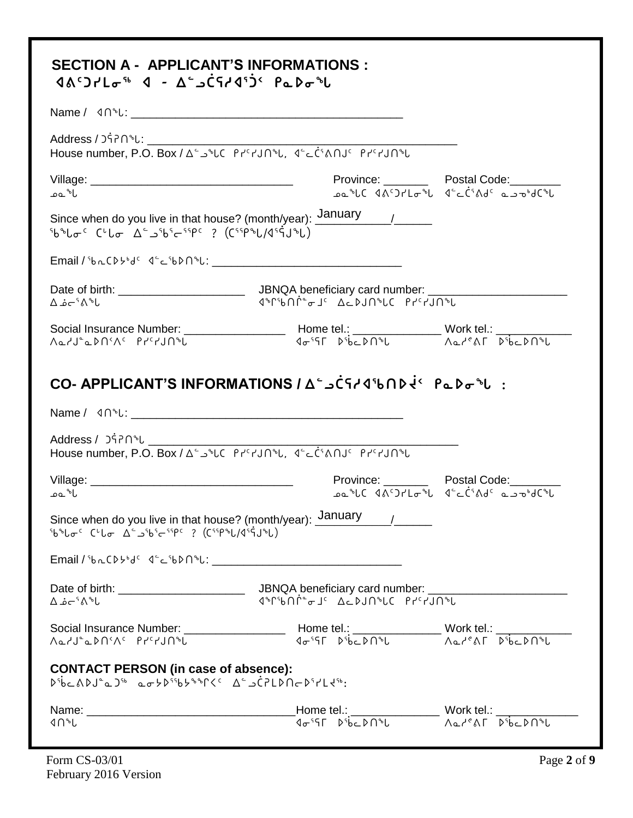|                                                                                                                                                                        | House number, P.O. Box / A - 2 PLC Prerun & Lister Oule Prerun &                                                                                                                                                                                                                                                                                            |                                                                                                     |
|------------------------------------------------------------------------------------------------------------------------------------------------------------------------|-------------------------------------------------------------------------------------------------------------------------------------------------------------------------------------------------------------------------------------------------------------------------------------------------------------------------------------------------------------|-----------------------------------------------------------------------------------------------------|
| ا * عمد                                                                                                                                                                |                                                                                                                                                                                                                                                                                                                                                             | Province: Postal Code: Province:<br>ـهمـُّلا Aد C الحَّل التحرُّمُ Aد مـع الله عنها من الله عنها ال |
| <sup>5</sup> b <sup>s</sup> lo <sup>c</sup> C <sup>u</sup> lo Δ - 25b5c55PC ? (C55PSL/d55JSL)                                                                          | Since when do you live in that house? (month/year): January ____________________                                                                                                                                                                                                                                                                            |                                                                                                     |
|                                                                                                                                                                        |                                                                                                                                                                                                                                                                                                                                                             |                                                                                                     |
|                                                                                                                                                                        |                                                                                                                                                                                                                                                                                                                                                             |                                                                                                     |
|                                                                                                                                                                        |                                                                                                                                                                                                                                                                                                                                                             |                                                                                                     |
|                                                                                                                                                                        | $\text{Social Insurance Number: } \underline{\hspace{2.5cm}} \text{Home tel.: } \underline{\hspace{2.5cm}} \text{None: } \underline{\hspace{2.5cm}} \text{Work tel.: } \underline{\hspace{2.5cm}} \text{Work tell: } \underline{\hspace{2.5cm}}$                                                                                                            |                                                                                                     |
|                                                                                                                                                                        | CO- APPLICANT'S INFORMATIONS / Δ"ه C٢٠٩١٥٥ مع ٢٠٠٠ ٩٠٠ ٢٠٠                                                                                                                                                                                                                                                                                                  |                                                                                                     |
|                                                                                                                                                                        | Address / วร์คิกฺ ��<br>House number, P.O. Box / ∆ ้ل ٱلاحد ٱلا المحمد العامل المحمد المحمد المحمد المحمد المحمد المحمد المحمد المحمد                                                                                                                                                                                                                       |                                                                                                     |
|                                                                                                                                                                        |                                                                                                                                                                                                                                                                                                                                                             | Province: Postal Code: Province:<br>ـەمـُەل( ۱۳۶۵-۲۵۴)د (۱۳۵۰-۲۵۴)دهـ                               |
| با∿ْ ءم<br><sup>Sb</sup> <sup>®</sup> Lo <sup>c</sup> C'Lo A <sup>c</sup> Sbs Csspc ? (Cssp®L/dssqJ®L)                                                                 | Since when do you live in that house? (month/year): $\underline{\text{January}}$ /                                                                                                                                                                                                                                                                          |                                                                                                     |
|                                                                                                                                                                        |                                                                                                                                                                                                                                                                                                                                                             |                                                                                                     |
|                                                                                                                                                                        | ึง <sup>จ</sup> ึกใปเำ <sup>ง</sup> าง วป <sup>ู</sup> กใปฝั่ว∆ วั∟จ <sup>ะ</sup> า๎าไก <sup>ง</sup> ใ                                                                                                                                                                                                                                                      |                                                                                                     |
| م'−ة م'−£                                                                                                                                                              |                                                                                                                                                                                                                                                                                                                                                             |                                                                                                     |
|                                                                                                                                                                        | $\begin{picture}(150,10) \put(0,0){\vector(1,0){100}} \put(150,0){\vector(1,0){100}} \put(150,0){\vector(1,0){100}} \put(150,0){\vector(1,0){100}} \put(150,0){\vector(1,0){100}} \put(150,0){\vector(1,0){100}} \put(150,0){\vector(1,0){100}} \put(150,0){\vector(1,0){100}} \put(150,0){\vector(1,0){100}} \put(150,0){\vector(1,0){100}} \put(150,0){\$ |                                                                                                     |
| <b>CONTACT PERSON (in case of absence):</b><br>νή Σουθαιωνικού τη Σερδιανική της Σερδιασματικής.<br>Σερδιασματική στη Σερδιανική της Σερδιασματικής της Σερδιασματικής |                                                                                                                                                                                                                                                                                                                                                             |                                                                                                     |
|                                                                                                                                                                        |                                                                                                                                                                                                                                                                                                                                                             |                                                                                                     |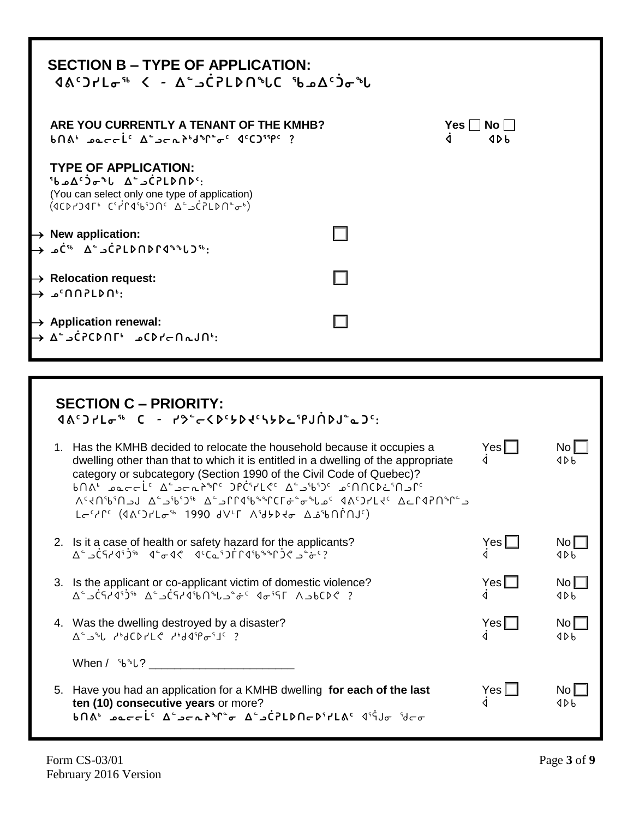|                                                                                                                                                                           | <b>SECTION B – TYPE OF APPLICATION:</b><br>$\Delta \Lambda^c$ )۲ $L_{\sigma}$ <sup>5</sup> < - $\Delta^c$ ےC7LDN <sup>\$</sup> LC $L$ ه د $\Delta^c$                                          |  |  |  |  |
|---------------------------------------------------------------------------------------------------------------------------------------------------------------------------|-----------------------------------------------------------------------------------------------------------------------------------------------------------------------------------------------|--|--|--|--|
| ARE YOU CURRENTLY A TENANT OF THE KMHB?<br>Yes I I<br>$No$    <br>$b\cap A^b$ paccic $\Delta^c$ and $b^b$ d <sup>o</sup> f $\sigma^c$ decompt ?<br>$\triangleleft$<br>4Db |                                                                                                                                                                                               |  |  |  |  |
|                                                                                                                                                                           | <b>TYPE OF APPLICATION:</b><br>:^CPLDND د ۵ <sup>۰</sup> ه ل <sup>ه</sup> ⊽Ć۵۵ مر<br>(You can select only one type of application)<br>$(100)$ $(100)$ $(100)$ $(100)$ $(100)$ $(100)$ $(100)$ |  |  |  |  |
| $\rightarrow$ New application:                                                                                                                                            | → أَ"כ d´{{ c J crLD n D r q a^{                                                                                                                                                              |  |  |  |  |
| $\rightarrow$ Relocation request:<br>→ GNOPLDN <sup>®</sup> ء →                                                                                                           |                                                                                                                                                                                               |  |  |  |  |
| $\rightarrow$ Application renewal:                                                                                                                                        | → ∆°¬CPCDNT © ∩CD۲~N~JN.                                                                                                                                                                      |  |  |  |  |

| <b>SECTION C - PRIORITY:</b><br>$4A^c$ ) $7L\sigma$ <sup>56</sup> C - $73^c$ < $8^c$ > $642R$ + $96^c$ + $94R$<br>1. Has the KMHB decided to relocate the household because it occupies a<br>dwelling other than that to which it is entitled in a dwelling of the appropriate<br>category or subcategory (Section 1990 of the Civil Code of Quebec)?<br>°اد ∩`غ۱۵۲۵°ه ک'د'ه'د که ۲۴٬۶۲۷° کام'۲۵۰م متر که کام معمد از ۱۵۰<br>د־CICd <sup>6</sup> °+0 14C) ۵۰ - د ماهی می د د کاهههاوا کاه است کاه اور کاه د کاه کاه کاه ک<br>Lactle (1862 AVLE Authories AirContinuc) | $Yes \Box$   | No L<br>4Db            |
|-----------------------------------------------------------------------------------------------------------------------------------------------------------------------------------------------------------------------------------------------------------------------------------------------------------------------------------------------------------------------------------------------------------------------------------------------------------------------------------------------------------------------------------------------------------------------|--------------|------------------------|
| 2. Is it a case of health or safety hazard for the applicants?                                                                                                                                                                                                                                                                                                                                                                                                                                                                                                        | $Yes$ $[$    | No <sub>l</sub><br>4Db |
| 3. Is the applicant or co-applicant victim of domestic violence?<br>? € 60×30× 17°50 <sup>ء</sup> خى 10%40°51غر ^∆ %91°41ع′ر                                                                                                                                                                                                                                                                                                                                                                                                                                          | $Yes$ $\Box$ | No<br>4Db              |
| 4. Was the dwelling destroyed by a disaster?<br>$\Delta^{\sim}$ $\Delta^{\circ}$ $\Delta^{\circ}$ $\Delta^{\circ}$ $\Delta^{\circ}$ $\Delta^{\circ}$ $\Delta^{\circ}$ $\Delta^{\circ}$ $\Delta^{\circ}$ $\Delta^{\circ}$ $\Delta^{\circ}$ $\Delta^{\circ}$ $\Delta^{\circ}$ $\Delta^{\circ}$ $\Delta^{\circ}$ $\Delta^{\circ}$ $\Delta^{\circ}$ $\Delta^{\circ}$ $\Delta^{\circ}$ $\Delta^{\circ}$ $\Delta^{\circ}$ $\Delta^{\circ}$ $\Delta^{\circ}$ $\Delta^{\circ}$ $\Delta^{\$                                                                                    | YesL         | No<br>4Db              |
| When / ՟b <sup>s</sup> b? ___________________________                                                                                                                                                                                                                                                                                                                                                                                                                                                                                                                 |              |                        |
| 5. Have you had an application for a KMHB dwelling for each of the last<br>ten (10) consecutive years or more?<br><b>۵٬۲۴٬۱۰٬۴٬۴٬۴٬۴٬۴٬۴٬۴٬۴٬۴٬۴٬۴٬۴٬۶٬۴٬۶٬۴٬۶٬</b>                                                                                                                                                                                                                                                                                                                                                                                                   | Yes [        | No I<br>くりし            |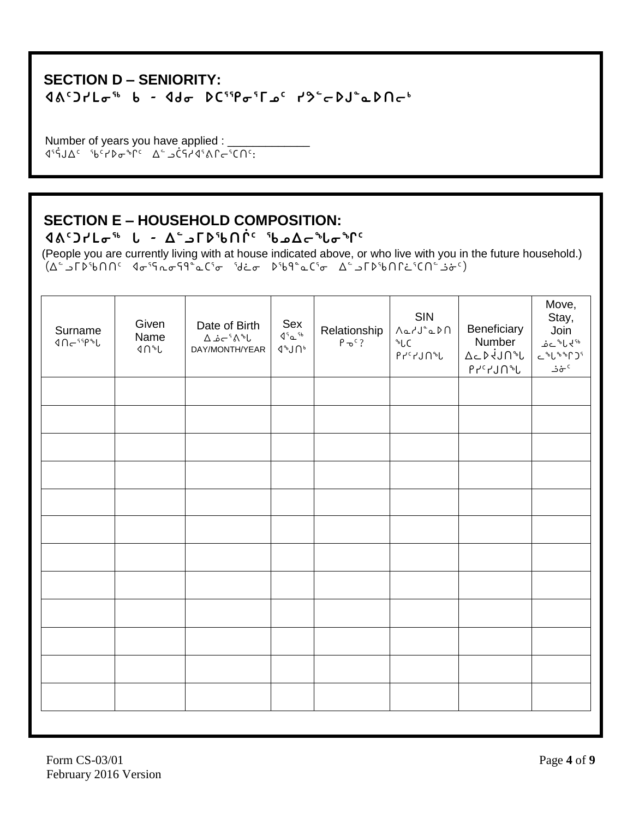#### **SECTION D - SENIORITY:**  $900000$   $1900000$   $1900000$   $190000$   $190000$   $190000$

Number of years you have applied : \_ 

### **SECTION E - HOUSEHOLD COMPOSITION:**

 $90<sup>4</sup> - 90<sup>3</sup> - 60<sup>4</sup>$ 

(People you are currently living with at house indicated above, or who live with you in the future household.)  $(\Delta^2 - \text{F1}^2 - \text{F1}^2 - \text{F1}^2 - \text{F1}^2 - \text{F1}^2 - \text{F1}^2 - \text{F1}^2 - \text{F1}^2 - \text{F1}^2 - \text{F1}^2 - \text{F1}^2 - \text{F1}^2 - \text{F1}^2 - \text{F1}^2 - \text{F1}^2 - \text{F1}^2 - \text{F1}^2 - \text{F1}^2 - \text{F1}^2 - \text{F1}^2 - \text{F1}^2 - \text{F1}^2 - \text{F1}^2 - \text{F1}^2$ 

| Surname<br>$4\Omega\epsilon$ 99%L | Given<br>Name<br>$4n^{\circ}L$ | Date of Birth<br>$\Delta$ هٔ $\sim$ ۱ $\sim$<br>DAY/MONTH/YEAR | Sex<br>45a<br>$4^{\circ}$ J $\bigcap$ | Relationship<br>$P \rightarrow C$ ? | SIN<br>$\bigcap_{\alpha\in\Lambda}\bigcup_{\alpha\in\Lambda}\bigcap_{\alpha\in\Lambda}$<br>$\sqrt[6]{C}$<br>$P \sim L$ לי ג $\mathcal{L}$ | Beneficiary<br>Number<br>$\Delta$ c $\triangleright$ iJn <sup>s</sup> l<br>$P \uparrow^c \uparrow$ לי $\uparrow^c \uparrow$ | Move,<br>Stay,<br>Join<br>ے دگا کا ج<br>$C^{\delta}U^{\delta\delta}U^{\delta}$<br>خ خ $\mathring{\sigma}^{\mathfrak{c}}$ |
|-----------------------------------|--------------------------------|----------------------------------------------------------------|---------------------------------------|-------------------------------------|-------------------------------------------------------------------------------------------------------------------------------------------|-----------------------------------------------------------------------------------------------------------------------------|--------------------------------------------------------------------------------------------------------------------------|
|                                   |                                |                                                                |                                       |                                     |                                                                                                                                           |                                                                                                                             |                                                                                                                          |
|                                   |                                |                                                                |                                       |                                     |                                                                                                                                           |                                                                                                                             |                                                                                                                          |
|                                   |                                |                                                                |                                       |                                     |                                                                                                                                           |                                                                                                                             |                                                                                                                          |
|                                   |                                |                                                                |                                       |                                     |                                                                                                                                           |                                                                                                                             |                                                                                                                          |
|                                   |                                |                                                                |                                       |                                     |                                                                                                                                           |                                                                                                                             |                                                                                                                          |
|                                   |                                |                                                                |                                       |                                     |                                                                                                                                           |                                                                                                                             |                                                                                                                          |
|                                   |                                |                                                                |                                       |                                     |                                                                                                                                           |                                                                                                                             |                                                                                                                          |
|                                   |                                |                                                                |                                       |                                     |                                                                                                                                           |                                                                                                                             |                                                                                                                          |
|                                   |                                |                                                                |                                       |                                     |                                                                                                                                           |                                                                                                                             |                                                                                                                          |
|                                   |                                |                                                                |                                       |                                     |                                                                                                                                           |                                                                                                                             |                                                                                                                          |
|                                   |                                |                                                                |                                       |                                     |                                                                                                                                           |                                                                                                                             |                                                                                                                          |
|                                   |                                |                                                                |                                       |                                     |                                                                                                                                           |                                                                                                                             |                                                                                                                          |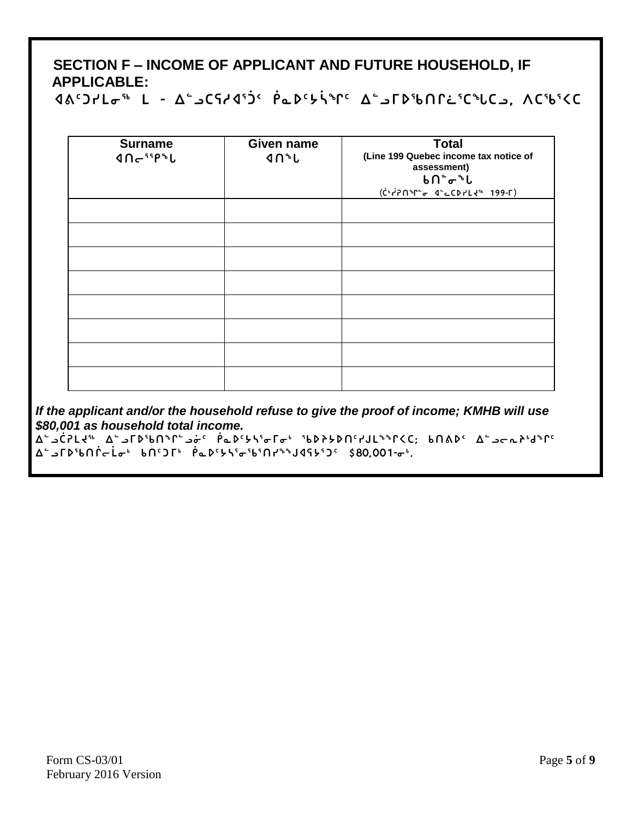## SECTION F - INCOME OF APPLICANT AND FUTURE HOUSEHOLD, IF **APPLICABLE:**

Aδ'JrLσ<sup>56</sup> L - Δ΄ SCSrA'J' PLD'bir Δ΄ STD'bNNL'C"LCS, ΛC'b'KC

| <b>Surname</b><br>4n <sup>45</sup> | <b>Given name</b><br><b>JAD</b> | <b>Total</b><br>(Line 199 Quebec income tax notice of<br>assessment)<br>ხ∩໊σ໊Ն<br>(ChiPn Me d'CDILL4" 199-F) |
|------------------------------------|---------------------------------|--------------------------------------------------------------------------------------------------------------|
|                                    |                                 |                                                                                                              |
|                                    |                                 |                                                                                                              |
|                                    |                                 |                                                                                                              |
|                                    |                                 |                                                                                                              |
|                                    |                                 |                                                                                                              |
|                                    |                                 |                                                                                                              |
|                                    |                                 |                                                                                                              |
|                                    |                                 |                                                                                                              |

If the applicant and/or the household refuse to give the proof of income; KMHB will use \$80,001 as household total income.

**¤```C`SLY" A``J「D'bN**``L``q` PQ'Y\'o「o' 'bDYYDN'YJL```C; bN&D' A``Jcr}'d``I' **Δ**"J**Γ**DჼbՈՐcLσ<sup>+</sup> bՈ'JГ<sup>+</sup> PLD'5S'σ'b'Ոr<sup>SS</sup>J4S5'J' \$80.001-σ<sup>+</sup>.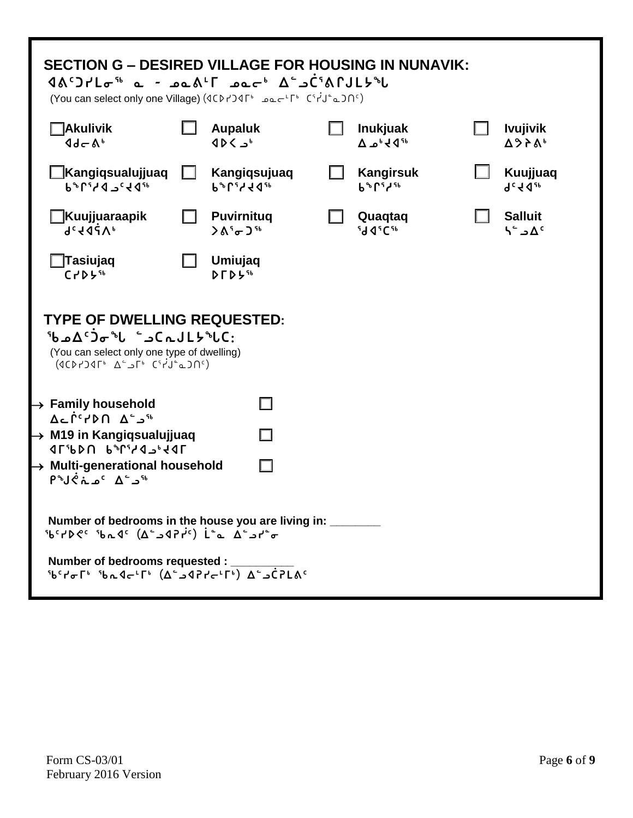| <b>SECTION G – DESIRED VILLAGE FOR HOUSING IN NUNAVIK:</b><br>$90^{\circ}97^{\circ}10^{56}$ a - $90^{\circ}10^{1}$ $90^{\circ}10^{10}$ $90^{\circ}10^{10}$ $90^{\circ}10^{10}$<br>(You can select only one Village) (4CD۲) عامہ دی دیکھا (You can select only one Village)   |                                                                                                                                                                                                                                                                     |                                                     |    |                                                          |  |                                         |
|------------------------------------------------------------------------------------------------------------------------------------------------------------------------------------------------------------------------------------------------------------------------------|---------------------------------------------------------------------------------------------------------------------------------------------------------------------------------------------------------------------------------------------------------------------|-----------------------------------------------------|----|----------------------------------------------------------|--|-----------------------------------------|
| <b>Nakulivik</b><br>$4d - Ab$                                                                                                                                                                                                                                                |                                                                                                                                                                                                                                                                     | <b>Aupaluk</b><br>4D <sub>b</sub>                   | LΙ | <b>Inukjuak</b><br>$\Delta \omega^6$ d <sup>56</sup>     |  | <b>Ivujivik</b><br>Δ97A <sup>6</sup>    |
| <b>∐Kangiqsualujjuaq</b><br><b>P</b> <sub>P</sub> U <sub>2</sub> 7 9 7 4 9 10                                                                                                                                                                                                |                                                                                                                                                                                                                                                                     | Kangiqsujuaq<br><b>P</b> <sup>PLISS</sup> 441       |    | <b>Kangirsuk</b><br><b>b</b> <sup>b</sup> r <sup>5</sup> |  | Kuujjuaq<br><b>gc f dap</b>             |
| <b>∐Kuujjuaraapik</b><br><b>9cfdzyp</b>                                                                                                                                                                                                                                      |                                                                                                                                                                                                                                                                     | <b>Puvirnitug</b><br>$\lambda_0^5$ of $\lambda_0^5$ |    | Quaqtaq<br><b>Id Jicst</b>                               |  | <b>Salluit</b><br>$A^c \rightarrow A^c$ |
| $\sqcap$ Tasiujaq<br>C <sub>1</sub> DB <sub>4</sub>                                                                                                                                                                                                                          |                                                                                                                                                                                                                                                                     | Umiujaq<br>$D \Gamma D 5$ <sup>56</sup>             |    |                                                          |  |                                         |
|                                                                                                                                                                                                                                                                              | <b>TYPE OF DWELLING REQUESTED:</b><br><b>Sb</b> ad <sup>c</sup> Jo <sup>s</sup> l - CrJLb <sup>s</sup> LC:<br>(You can select only one type of dwelling)<br>$(1007)$ 15 <sup>6</sup> A <sup>-</sup> 2 <sup>6</sup> C <sup>4</sup> J <sup>-</sup> 200 <sup>c</sup> ) |                                                     |    |                                                          |  |                                         |
| $\rightarrow$ Family household<br>$A \subseteq \bigcap_{n=0}^{\infty} A$ and $A \subseteq A$                                                                                                                                                                                 |                                                                                                                                                                                                                                                                     |                                                     |    |                                                          |  |                                         |
| $\rightarrow$ M19 in Kangiqsualujjuaq<br>1054c16r1r3d10                                                                                                                                                                                                                      |                                                                                                                                                                                                                                                                     | П                                                   |    |                                                          |  |                                         |
| $\rightarrow$ Multi-generational household<br>$P^{\circ}J \circ \Lambda^{\circ} \sim^{\circ} \Lambda^{\circ} \sim^{\circ}$                                                                                                                                                   |                                                                                                                                                                                                                                                                     |                                                     |    |                                                          |  |                                         |
| Number of bedrooms in the house you are living in:<br>$56°$ +1000 $\frac{6}{10}$ +1000 $\frac{1}{10}$ +1000 $\frac{1}{10}$ +1000 $\frac{1}{10}$                                                                                                                              |                                                                                                                                                                                                                                                                     |                                                     |    |                                                          |  |                                         |
| Number of bedrooms requested : _<br>$\overline{6}^{\circ}$ idential independential independential in the set of the set of the set of the set of the set of the set of the set of the set of the set of the set of the set of the set of the set of the set of the set of th |                                                                                                                                                                                                                                                                     |                                                     |    |                                                          |  |                                         |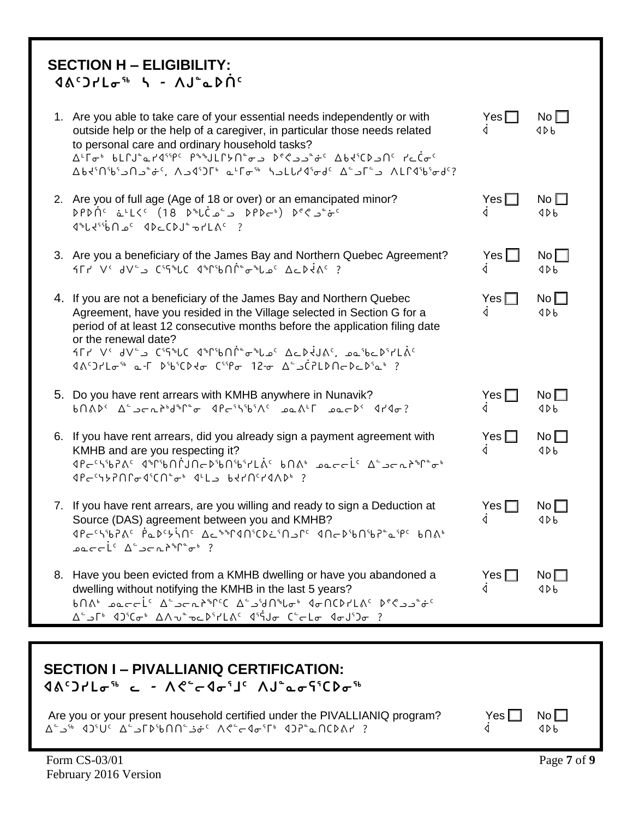| <b>SECTION H - ELIGIBILITY:</b><br>$90^{\circ}$ $7.10^{\circ}$ $\mu$ $\sigma$ $\mu$ $\sigma$ $\sigma$ $\sigma$ $\sigma$ $\sigma$ $\sigma$                                                                                                                                                                                                                                                                                                                                                                                                                                                                                                                                      |                    |                        |
|--------------------------------------------------------------------------------------------------------------------------------------------------------------------------------------------------------------------------------------------------------------------------------------------------------------------------------------------------------------------------------------------------------------------------------------------------------------------------------------------------------------------------------------------------------------------------------------------------------------------------------------------------------------------------------|--------------------|------------------------|
| 1. Are you able to take care of your essential needs independently or with<br>outside help or the help of a caregiver, in particular those needs related<br>to personal care and ordinary household tasks?<br><u>Δ'</u> Γσ' bLՐJ <sup></sup> °α۲4 <sup>sspc</sup> P <sup>ss</sup> JLՐሃՈ໊σג D°<2م شرد Δbd <sup>s</sup> CD ما ۲۵۲<br>Δbd'Nb'b'od'? د "احكم المواكل الماحط المعالم الألك من المشاركان Λbd'Nb'b'od'?                                                                                                                                                                                                                                                               | $Yes \Box$<br>◁    | No <sub>l</sub><br>4Db |
| 2. Are you of full age (Age of 18 or over) or an emancipated minor?<br><b>DPDNC</b> فـ 'لكرد (18 D <sup>0</sup> ل فـ كما فكرد ) DPD في في من<br>$4^{\circ}L4^{\circ}$ 6 A $\circ$ 4 D $\circ$ CDJ $^{\circ}$ or LAC ?                                                                                                                                                                                                                                                                                                                                                                                                                                                          | Yes $\Box$<br>◁    | No $\square$<br>4Db    |
| 3. Are you a beneficiary of the James Bay and Northern Quebec Agreement?<br><b>ALY V' JVE CITALE PAPIBONE CALDERS</b>                                                                                                                                                                                                                                                                                                                                                                                                                                                                                                                                                          | $Yes$ $\Box$<br>◁  | No<br>4Db              |
| 4. If you are not a beneficiary of the James Bay and Northern Quebec<br>Agreement, have you resided in the Village selected in Section G for a<br>period of at least 12 consecutive months before the application filing date<br>or the renewal date?<br><sup>26</sup> كان (18° كان د 19°50) كما به مان به المان المحمول به المحمد المعلمية المحمد المحمد المحمد المحمد المحمد ال                                                                                                                                                                                                                                                                                              | Yes $\Box$<br>◁    | No<br>4Db              |
| 5. Do you have rent arrears with KMHB anywhere in Nunavik?<br>$b\cap\Lambda b$ <sup>2</sup> $\Delta^c$ <sub>2</sub> $\subset$ $\Lambda^b$ $\theta^b$ <sup>2</sup> $\sigma$ $\theta^c$ $\sim$ $\theta^c$ $\Lambda^c$ $\Omega$ $\Lambda^c$ $\Omega$                                                                                                                                                                                                                                                                                                                                                                                                                              | Yes [<br>◁         | $No \Box4Db$           |
| 6. If you have rent arrears, did you already sign a payment agreement with<br>KMHB and are you respecting it?<br>$3Pc^{1}YPPPC\sigma 4^{5}CP^{2}\sigma^{6}$ $4^{1}L_{2}$ beinerand ?                                                                                                                                                                                                                                                                                                                                                                                                                                                                                           | Yes $\Box$<br>◁    | No<br>4Db              |
| 7. If you have rent arrears, are you willing and ready to sign a Deduction at<br>Source (DAS) agreement between you and KMHB?<br>IPESSERG PLASSING ALSSPANSCRESDONG INEDSUNSPERG BNAS<br>$\mathsf{p} \circ \mathsf{p} \circ \mathsf{p} \circ \mathsf{p} \circ \mathsf{p} \circ \mathsf{p} \circ \mathsf{p} \circ \mathsf{p} \circ \mathsf{p} \circ \mathsf{p} \circ \mathsf{p} \circ \mathsf{p} \circ \mathsf{p} \circ \mathsf{p} \circ \mathsf{p} \circ \mathsf{p} \circ \mathsf{p} \circ \mathsf{p} \circ \mathsf{p} \circ \mathsf{p} \circ \mathsf{p} \circ \mathsf{p} \circ \mathsf{p} \circ \mathsf{p} \circ \mathsf{p} \circ \mathsf{p} \circ \mathsf{p} \circ \mathsf{$ | Yes $\square$<br>◁ | No<br>4Db              |
| 8. Have you been evicted from a KMHB dwelling or have you abandoned a<br>dwelling without notifying the KMHB in the last 5 years?<br>? −ە <sup>1</sup> 0'0 <sub>1</sub> 0'0-1∆° ∧∆−0' 10'14° 4 <sup>0'</sup> 0− 10' 10' 10' 10' 10' 10' 1                                                                                                                                                                                                                                                                                                                                                                                                                                      | Yes $\Box$<br>◁    | No <sub>1</sub><br>4Db |

| <b>SECTION I – PIVALLIANIQ CERTIFICATION:</b><br>$(10^{12}C)^{12}$ and $(10^{12}C)^{12}$ and $(10^{12}C)^{12}$ and $(10^{12}C)^{12}$ and $(10^{12}C)^{12}$ and $(10^{12}C)^{12}$ |            |             |
|----------------------------------------------------------------------------------------------------------------------------------------------------------------------------------|------------|-------------|
| Are you or your present household certified under the PIVALLIANIQ program?                                                                                                       | Yes $\Box$ | $N_0 \Box$  |
| Form CS-03/01                                                                                                                                                                    |            | Page 7 of 9 |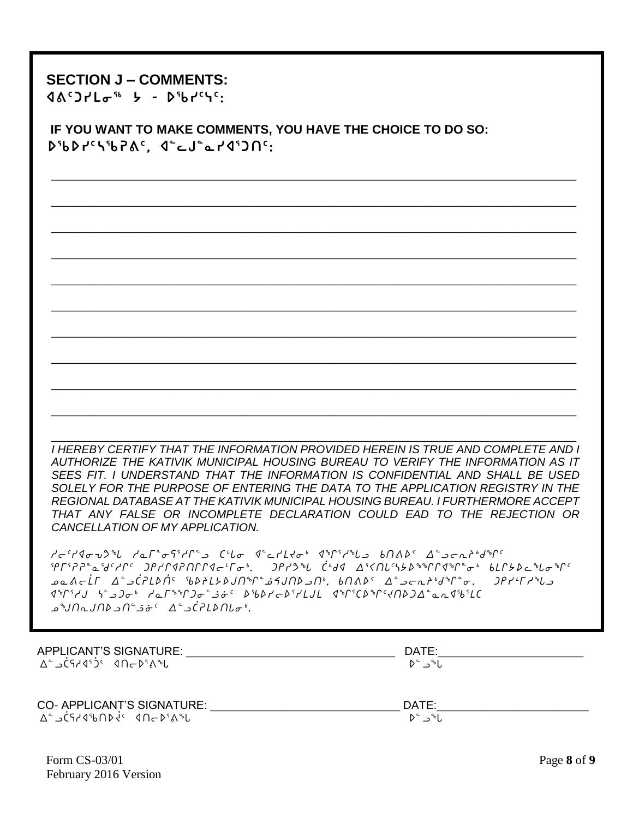### **SECTION J – COMMENTS:**

**ᐊᕕᑦᑐᓯᒪᓂᖅ ᔭ - ᐅᖃᓯᑦᓭᑦ:**

 **IF YOU WANT TO MAKE COMMENTS, YOU HAVE THE CHOICE TO DO SO: ᐅᖃᐅᓯᑦᓴᖃᕈᕕᑦ, ᐊᓪᓚᒍᓐᓇᓯᐊᕐᑐᑎᑦ:**

\_\_\_\_\_\_\_\_\_\_\_\_\_\_\_\_\_\_\_\_\_\_\_\_\_\_\_\_\_\_\_\_\_\_\_\_\_\_\_\_\_\_\_\_\_\_\_\_\_\_\_\_\_\_\_\_\_\_\_\_\_\_\_\_\_\_\_\_\_\_\_\_\_\_\_\_\_\_\_\_\_\_\_

\_\_\_\_\_\_\_\_\_\_\_\_\_\_\_\_\_\_\_\_\_\_\_\_\_\_\_\_\_\_\_\_\_\_\_\_\_\_\_\_\_\_\_\_\_\_\_\_\_\_\_\_\_\_\_\_\_\_\_\_\_\_\_\_\_\_\_\_\_\_\_\_\_\_\_\_\_\_\_\_\_\_\_

\_\_\_\_\_\_\_\_\_\_\_\_\_\_\_\_\_\_\_\_\_\_\_\_\_\_\_\_\_\_\_\_\_\_\_\_\_\_\_\_\_\_\_\_\_\_\_\_\_\_\_\_\_\_\_\_\_\_\_\_\_\_\_\_\_\_\_\_\_\_\_\_\_\_\_\_\_\_\_\_\_\_\_

\_\_\_\_\_\_\_\_\_\_\_\_\_\_\_\_\_\_\_\_\_\_\_\_\_\_\_\_\_\_\_\_\_\_\_\_\_\_\_\_\_\_\_\_\_\_\_\_\_\_\_\_\_\_\_\_\_\_\_\_\_\_\_\_\_\_\_\_\_\_\_\_\_\_\_\_\_\_\_\_\_\_\_

\_\_\_\_\_\_\_\_\_\_\_\_\_\_\_\_\_\_\_\_\_\_\_\_\_\_\_\_\_\_\_\_\_\_\_\_\_\_\_\_\_\_\_\_\_\_\_\_\_\_\_\_\_\_\_\_\_\_\_\_\_\_\_\_\_\_\_\_\_\_\_\_\_\_\_\_\_\_\_\_\_\_\_

\_\_\_\_\_\_\_\_\_\_\_\_\_\_\_\_\_\_\_\_\_\_\_\_\_\_\_\_\_\_\_\_\_\_\_\_\_\_\_\_\_\_\_\_\_\_\_\_\_\_\_\_\_\_\_\_\_\_\_\_\_\_\_\_\_\_\_\_\_\_\_\_\_\_\_\_\_\_\_\_\_\_\_

\_\_\_\_\_\_\_\_\_\_\_\_\_\_\_\_\_\_\_\_\_\_\_\_\_\_\_\_\_\_\_\_\_\_\_\_\_\_\_\_\_\_\_\_\_\_\_\_\_\_\_\_\_\_\_\_\_\_\_\_\_\_\_\_\_\_\_\_\_\_\_\_\_\_\_\_\_\_\_\_\_\_\_

\_\_\_\_\_\_\_\_\_\_\_\_\_\_\_\_\_\_\_\_\_\_\_\_\_\_\_\_\_\_\_\_\_\_\_\_\_\_\_\_\_\_\_\_\_\_\_\_\_\_\_\_\_\_\_\_\_\_\_\_\_\_\_\_\_\_\_\_\_\_\_\_\_\_\_\_\_\_\_\_\_\_\_

\_\_\_\_\_\_\_\_\_\_\_\_\_\_\_\_\_\_\_\_\_\_\_\_\_\_\_\_\_\_\_\_\_\_\_\_\_\_\_\_\_\_\_\_\_\_\_\_\_\_\_\_\_\_\_\_\_\_\_\_\_\_\_\_\_\_\_\_\_\_\_\_\_\_\_\_\_\_\_\_\_\_\_

\_\_\_\_\_\_\_\_\_\_\_\_\_\_\_\_\_\_\_\_\_\_\_\_\_\_\_\_\_\_\_\_\_\_\_\_\_\_\_\_\_\_\_\_\_\_\_\_\_\_\_\_\_\_\_\_\_\_\_\_\_\_\_\_\_\_\_\_\_\_\_\_\_\_\_\_\_\_\_\_\_\_\_

\_\_\_\_\_\_\_\_\_\_\_\_\_\_\_\_\_\_\_\_\_\_\_\_\_\_\_\_\_\_\_\_\_\_\_\_\_\_\_\_\_\_\_\_\_\_\_\_\_\_\_\_\_\_\_\_\_\_\_\_\_\_\_\_\_\_\_\_\_\_\_\_\_\_\_\_\_\_\_\_\_\_\_ *I HEREBY CERTIFY THAT THE INFORMATION PROVIDED HEREIN IS TRUE AND COMPLETE AND I AUTHORIZE THE KATIVIK MUNICIPAL HOUSING BUREAU TO VERIFY THE INFORMATION AS IT SEES FIT. I UNDERSTAND THAT THE INFORMATION IS CONFIDENTIAL AND SHALL BE USED*  SOLELY FOR THE PURPOSE OF ENTERING THE DATA TO THE APPLICATION REGISTRY IN THE *REGIONAL DATABASE AT THE KATIVIK MUNICIPAL HOUSING BUREAU. I FURTHERMORE ACCEPT THAT ANY FALSE OR INCOMPLETE DECLARATION COULD EAD TO THE REJECTION OR CANCELLATION OF MY APPLICATION.*

*ho5yxiêKz hNu8iC3hQ9l b=Zi x9MymJi4 xq3hzl vt[s2 w9loEp4fq5 eu3DD8Nd5hQ5 gryQxDtQQxo7ui4. gryKz Ì4fx w3XtZ5n/s1qQxq8i4 vmQ/sMziq5 kN[oµu w9lÌDms†5 cspm/sAtq8ªèAtslt4, vt[s2 w9loEp4fq8i. gry7uhzl xq3hA n9lgi4 hNu1qgi9"5 scsyos3ymAm xq3bsq5Jtsgw8NExc3mb katEAtslt9¬î5 w9lÌDmstᒐi4.*

| APPLICANT'S SIGNATURE:     | DATE:                |
|----------------------------|----------------------|
| ∆°⊿⊂ำ√ง°วั≦ ∢∩←⊅°∆°⊌       | ا∿د -ٌ ⊲             |
| CO- APPLICANT'S SIGNATURE: | DATE:                |
| ∆° ⊃⊂≀4°⊌∩⊅√` 4∩←⊅°∆°∪     | $D^c \rightarrow bL$ |

| Form $CS-03/01$       | Page 8 of 9 |
|-----------------------|-------------|
| February 2016 Version |             |